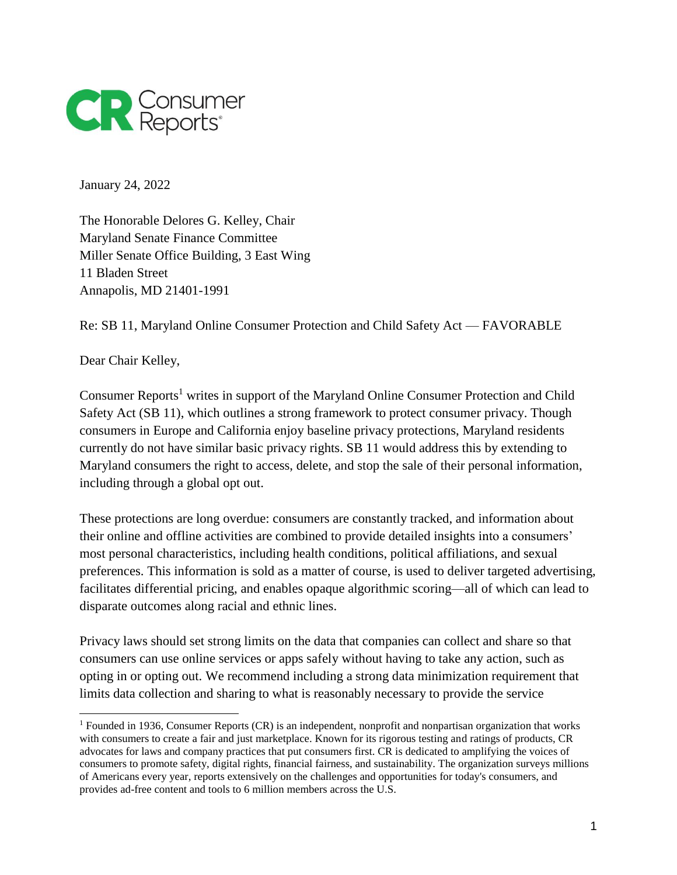

January 24, 2022

The Honorable Delores G. Kelley, Chair Maryland Senate Finance Committee Miller Senate Office Building, 3 East Wing 11 Bladen Street Annapolis, MD 21401-1991

Re: SB 11, Maryland Online Consumer Protection and Child Safety Act — FAVORABLE

Dear Chair Kelley,

 $\overline{a}$ 

Consumer Reports<sup>1</sup> writes in support of the Maryland Online Consumer Protection and Child Safety Act (SB 11), which outlines a strong framework to protect consumer privacy. Though consumers in Europe and California enjoy baseline privacy protections, Maryland residents currently do not have similar basic privacy rights. SB 11 would address this by extending to Maryland consumers the right to access, delete, and stop the sale of their personal information, including through a global opt out.

These protections are long overdue: consumers are constantly tracked, and information about their online and offline activities are combined to provide detailed insights into a consumers' most personal characteristics, including health conditions, political affiliations, and sexual preferences. This information is sold as a matter of course, is used to deliver targeted advertising, facilitates differential pricing, and enables opaque algorithmic scoring—all of which can lead to disparate outcomes along racial and ethnic lines.

Privacy laws should set strong limits on the data that companies can collect and share so that consumers can use online services or apps safely without having to take any action, such as opting in or opting out. We recommend including a strong data minimization requirement that limits data collection and sharing to what is reasonably necessary to provide the service

<sup>&</sup>lt;sup>1</sup> Founded in 1936, Consumer Reports (CR) is an independent, nonprofit and nonpartisan organization that works with consumers to create a fair and just marketplace. Known for its rigorous testing and ratings of products, CR advocates for laws and company practices that put consumers first. CR is dedicated to amplifying the voices of consumers to promote safety, digital rights, financial fairness, and sustainability. The organization surveys millions of Americans every year, reports extensively on the challenges and opportunities for today's consumers, and provides ad-free content and tools to 6 million members across the U.S.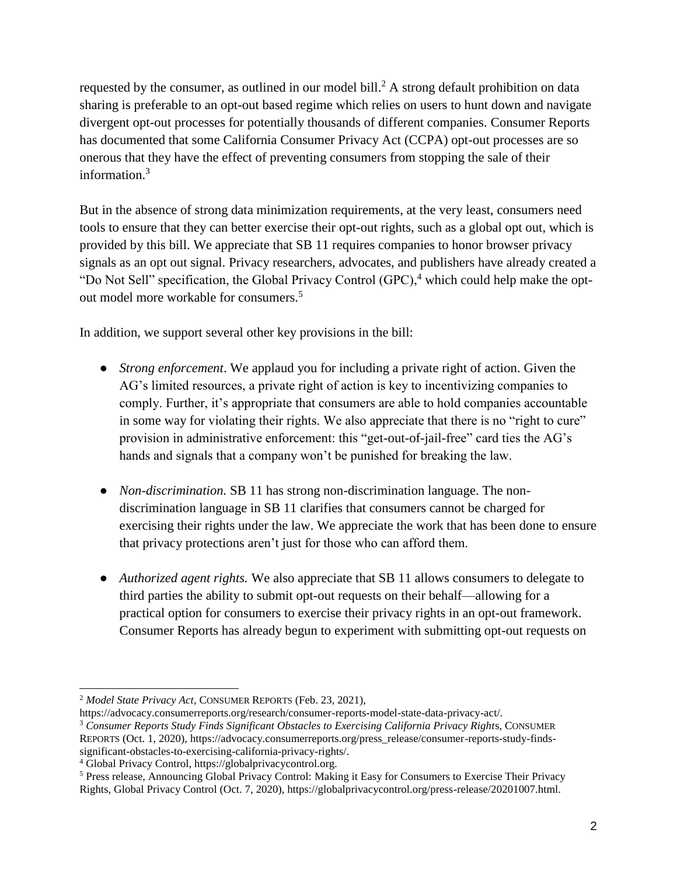requested by the consumer, as outlined in our model bill.<sup>2</sup> A strong default prohibition on data sharing is preferable to an opt-out based regime which relies on users to hunt down and navigate divergent opt-out processes for potentially thousands of different companies. Consumer Reports has documented that some California Consumer Privacy Act (CCPA) opt-out processes are so onerous that they have the effect of preventing consumers from stopping the sale of their information.<sup>3</sup>

But in the absence of strong data minimization requirements, at the very least, consumers need tools to ensure that they can better exercise their opt-out rights, such as a global opt out, which is provided by this bill. We appreciate that SB 11 requires companies to honor browser privacy signals as an opt out signal. Privacy researchers, advocates, and publishers have already created a "Do Not Sell" specification, the Global Privacy Control  $(GPC)$ , which could help make the optout model more workable for consumers.<sup>5</sup>

In addition, we support several other key provisions in the bill:

- *Strong enforcement*. We applaud you for including a private right of action. Given the AG's limited resources, a private right of action is key to incentivizing companies to comply. Further, it's appropriate that consumers are able to hold companies accountable in some way for violating their rights. We also appreciate that there is no "right to cure" provision in administrative enforcement: this "get-out-of-jail-free" card ties the AG's hands and signals that a company won't be punished for breaking the law.
- *Non-discrimination.* SB 11 has strong non-discrimination language. The nondiscrimination language in SB 11 clarifies that consumers cannot be charged for exercising their rights under the law. We appreciate the work that has been done to ensure that privacy protections aren't just for those who can afford them.
- *Authorized agent rights.* We also appreciate that SB 11 allows consumers to delegate to third parties the ability to submit opt-out requests on their behalf—allowing for a practical option for consumers to exercise their privacy rights in an opt-out framework. Consumer Reports has already begun to experiment with submitting opt-out requests on

 <sup>2</sup> *Model State Privacy Act*, CONSUMER REPORTS (Feb. 23, 2021),

https://advocacy.consumerreports.org/research/consumer-reports-model-state-data-privacy-act/. <sup>3</sup> Consumer Reports Study Finds Significant Obstacles to Exercising California Privacy Rights, CONSUMER REPORTS (Oct. 1, 2020), https://advocacy.consumerreports.org/press\_release/consumer-reports-study-findssignificant-obstacles-to-exercising-california-privacy-rights/.

<sup>4</sup> Global Privacy Control, https://globalprivacycontrol.org.

<sup>5</sup> Press release, Announcing Global Privacy Control: Making it Easy for Consumers to Exercise Their Privacy Rights, Global Privacy Control (Oct. 7, 2020), https://globalprivacycontrol.org/press-release/20201007.html.